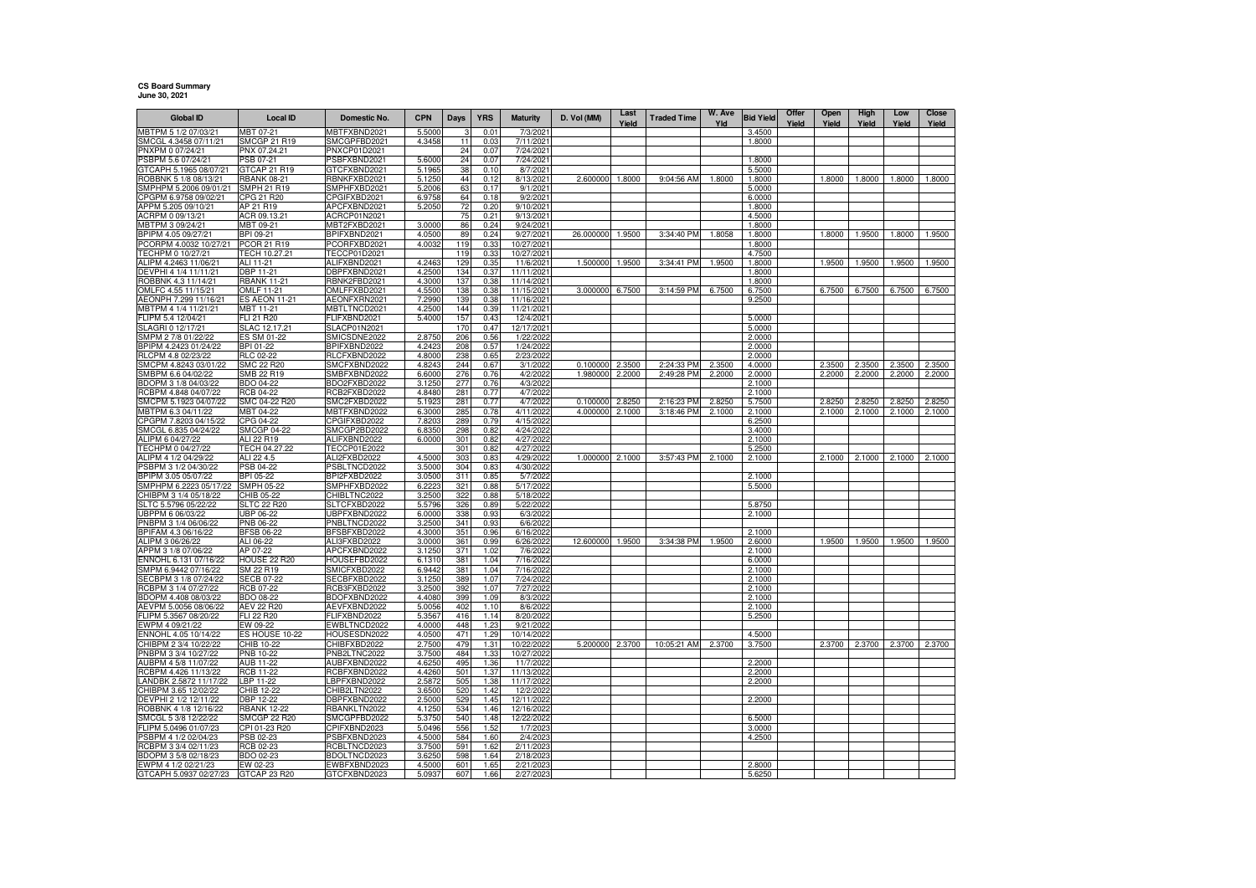## **CS Board SummaryJune 30, 2021**

| <b>Global ID</b>                                | <b>Local ID</b>                   | Domestic No.                        | <b>CPN</b>       | Days       | <b>YRS</b>   | <b>Maturity</b>          | D. Vol (MM)          | Last<br>Yield    | <b>Traded Time</b>       | W. Ave<br>Yld    | <b>Bid Yield</b> | Offer<br>Yield | Open<br>Yield    | High<br>Yield    | Low<br>Yield     | Close<br>Yield   |
|-------------------------------------------------|-----------------------------------|-------------------------------------|------------------|------------|--------------|--------------------------|----------------------|------------------|--------------------------|------------------|------------------|----------------|------------------|------------------|------------------|------------------|
| MBTPM 5 1/2 07/03/21                            | ABT 07-21                         | <b>MBTFXBND2021</b>                 | 5.5000           |            | 0.01         | 7/3/2021                 |                      |                  |                          |                  | 3.4500           |                |                  |                  |                  |                  |
| SMCGL 4.3458 07/11/21                           | SMCGP 21 R19                      | SMCGPFBD2021                        | 4.3458           | 11         | 0.03         | 7/11/2021                |                      |                  |                          |                  | 1.8000           |                |                  |                  |                  |                  |
| PNXPM 0 07/24/21                                | PNX 07.24.21                      | PNXCP01D2021                        |                  | 24         | 0.07         | 7/24/2021                |                      |                  |                          |                  |                  |                |                  |                  |                  |                  |
| PSBPM 5.6 07/24/2                               | PSB 07-21                         | PSBFXBND2021                        | 5.6000           | 24         | 0.07         | 7/24/2021                |                      |                  |                          |                  | 1.8000           |                |                  |                  |                  |                  |
| GTCAPH 5.1965 08/07/21<br>ROBBNK 5 1/8 08/13/21 | GTCAP 21 R19<br>RBANK 08-21       | GTCFXBND2021<br>RBNKFXBD2021        | 5.1965<br>5.1250 | 38<br>44   | 0.10<br>0.12 | 8/7/2021<br>8/13/2021    | 2.600000             | 1.8000           | 9:04:56 AM               | 1.8000           | 5.5000<br>1.8000 |                | 1.8000           | 1.8000           | 1.8000           | 1.8000           |
| SMPHPM 5.2006 09/01/21                          | <b>SMPH 21 R19</b>                | SMPHFXBD2021                        | 5.2006           | 63         | 0.17         | 9/1/202                  |                      |                  |                          |                  | 5.0000           |                |                  |                  |                  |                  |
| CPGPM 6.9758 09/02/21                           | CPG 21 R20                        | CPGIFXBD2021                        | 6.9758           | 64         | 0.18         | 9/2/2021                 |                      |                  |                          |                  | 6.0000           |                |                  |                  |                  |                  |
| APPM 5.205 09/10/21                             | AP 21 R19                         | APCFXBND2021                        | 5.2050           | 72         | 0.20         | 9/10/2021                |                      |                  |                          |                  | 1.8000           |                |                  |                  |                  |                  |
| ACRPM 0 09/13/21                                | ACR 09.13.21                      | ACRCP01N2021                        |                  | 75         | 0.21         | 9/13/2021                |                      |                  |                          |                  | 4.5000           |                |                  |                  |                  |                  |
| MBTPM 3 09/24/21                                | MBT 09-21                         | MBT2FXBD2021                        | 3.0000           | 86         | 0.24         | 9/24/2021                |                      |                  |                          |                  | 1.8000           |                |                  |                  |                  |                  |
| BPIPM 4.05 09/27/21<br>PCORPM 4.0032 10/27/21   | BPI 09-21<br>PCOR 21 R19          | BPIFXBND2021<br>PCORFXBD2021        | 4.0500<br>4.0032 | 89<br>119  | 0.24<br>0.33 | 9/27/2021<br>10/27/2021  | 26.000000            | 1.9500           | 3:34:40 PM               | 1.8058           | 1.8000<br>1.8000 |                | 1.8000           | 1.9500           | 1.8000           | 1.9500           |
| TECHPM 0 10/27/21                               | TECH 10.27.21                     | TECCP01D2021                        |                  | 119        | 0.33         | 10/27/2021               |                      |                  |                          |                  | 4.7500           |                |                  |                  |                  |                  |
| ALIPM 4.2463 11/06/21                           | ALI 11-21                         | ALIFXBND2021                        | 4.2463           | 129        | 0.35         | 11/6/2021                | 1.500000             | 1.9500           | 3:34:41 PM               | 1.9500           | 1.8000           |                | 1.9500           | 1.9500           | 1.9500           | 1.9500           |
| DEVPHI 4 1/4 11/11/21                           | DBP 11-21                         | DBPFXBND2021                        | 4.2500           | 134        | 0.37         | 11/11/2021               |                      |                  |                          |                  | 1.8000           |                |                  |                  |                  |                  |
| ROBBNK 4.3 11/14/21                             | <b>RBANK 11-21</b>                | RBNK2FBD2021                        | 4.3000           | 137        | 0.38         | 11/14/2021               |                      |                  |                          |                  | 1.8000           |                |                  |                  |                  |                  |
| OMLFC 4.55 11/15/21                             | OMLF 11-21                        | OMLFFXBD2021                        | 4.5500           | 138        | 0.38         | 11/15/2021               | 3.000000             | 6.7500           | 3:14:59 PM               | 6.7500           | 6.7500           |                | 6.7500           | 6.7500           | 6.7500           | 6.7500           |
| AEONPH 7.299 11/16/21<br>MBTPM 4 1/4 11/21/21   | <b>ES AEON 11-21</b><br>MBT 11-21 | AEONFXRN2021<br>MBTLTNCD2021        | 7.2990<br>4.2500 | 139<br>144 | 0.38<br>0.39 | 11/16/2021<br>11/21/2021 |                      |                  |                          |                  | 9.2500           |                |                  |                  |                  |                  |
| FLIPM 5.4 12/04/21                              | FLI 21 R20                        | FLIFXBND2021                        | 5.4000           | 157        | 0.43         | 12/4/2021                |                      |                  |                          |                  | 5.0000           |                |                  |                  |                  |                  |
| SLAGRI 0 12/17/21                               | SLAC 12.17.21                     | <b>SLACP01N2021</b>                 |                  | 170        | 0.47         | 12/17/2021               |                      |                  |                          |                  | 5.0000           |                |                  |                  |                  |                  |
| SMPM 2 7/8 01/22/22                             | ES SM 01-22                       | SMICSDNE2022                        | 2.8750           | 206        | 0.56         | 1/22/2022                |                      |                  |                          |                  | 2.0000           |                |                  |                  |                  |                  |
| BPIPM 4.2423 01/24/22                           | BPI 01-22                         | BPIFXBND2022                        | 4.2423           | 208        | 0.57         | 1/24/2022                |                      |                  |                          |                  | 2.0000           |                |                  |                  |                  |                  |
| RLCPM 4.8 02/23/22                              | RLC 02-22                         | RLCFXBND2022                        | 4.8000           | 238        | 0.65         | 2/23/2022                |                      |                  |                          |                  | 2.0000           |                |                  |                  |                  |                  |
| SMCPM 4.8243 03/01/22<br>SMBPM 6.6 04/02/22     | SMC 22 R20<br>SMB 22 R19          | SMCFXBND2022                        | 4.8243<br>6.6000 | 244<br>276 | 0.67<br>0.76 | 3/1/2022<br>4/2/2022     | 0.100000<br>1.980000 | 2.3500<br>2.2000 | 2:24:33 PM<br>2:49:28 PM | 2.3500<br>2.2000 | 4.0000<br>2.0000 |                | 2.3500<br>2.2000 | 2.3500<br>2.2000 | 2.3500<br>2.2000 | 2.3500<br>2.2000 |
| BDOPM 3 1/8 04/03/22                            | BDO 04-22                         | SMBFXBND2022<br>BDO2FXBD2022        | 3.1250           | 277        | 0.76         | 4/3/2022                 |                      |                  |                          |                  | 2.1000           |                |                  |                  |                  |                  |
| RCBPM 4.848 04/07/22                            | <b>RCB 04-22</b>                  | RCB2FXBD2022                        | 4.8480           | 281        | 0.77         | 4/7/2022                 |                      |                  |                          |                  | 2.1000           |                |                  |                  |                  |                  |
| SMCPM 5.1923 04/07/22                           | SMC 04-22 R20                     | SMC2FXBD2022                        | 5.1923           | 281        | 0.77         | 4/7/2022                 | 0.100000             | 2.8250           | 2:16:23 PM               | 2.8250           | 5.7500           |                | 2.8250           | 2.8250           | 2.8250           | 2.8250           |
| MBTPM 6.3 04/11/22                              | MBT 04-22                         | MBTFXBND2022                        | 6.3000           | 285        | 0.78         | 4/11/2022                | 4.000000             | 2.1000           | 3:18:46 PM               | 2.1000           | 2.1000           |                | 2.1000           | 2.1000           | 2.1000           | 2.1000           |
| CPGPM 7.8203 04/15/22                           | CPG 04-22                         | CPGIFXBD2022                        | 7.8203           | 289        | 0.79         | 4/15/2022                |                      |                  |                          |                  | 6.2500           |                |                  |                  |                  |                  |
| SMCGL 6.835 04/24/22                            | SMCGP 04-22<br>ALI 22 R19         | SMCGP2BD2022                        | 6.8350           | 298<br>301 | 0.82<br>0.82 | 4/24/2022<br>4/27/2022   |                      |                  |                          |                  | 3.4000<br>2.1000 |                |                  |                  |                  |                  |
| ALIPM 6 04/27/22<br>TECHPM 0 04/27/22           | TECH 04.27.22                     | ALIFXBND2022<br><b>TECCP01E2022</b> | 6.0000           | 301        | 0.82         | 4/27/2022                |                      |                  |                          |                  | 5.2500           |                |                  |                  |                  |                  |
| ALIPM 4 1/2 04/29/22                            | ALI 22 4.5                        | ALI2FXBD2022                        | 4.5000           | 303        | 0.83         | 4/29/2022                | 1.000000             | 2.1000           | 3:57:43 PM               | 2.1000           | 2.1000           |                | 2.1000           | 2.1000           | 2.1000           | 2.1000           |
| PSBPM 3 1/2 04/30/22                            | PSB 04-22                         | PSBLTNCD2022                        | 3.5000           | 304        | 0.83         | 4/30/2022                |                      |                  |                          |                  |                  |                |                  |                  |                  |                  |
| BPIPM 3.05 05/07/22                             | BPI 05-22                         | BPI2FXBD2022                        | 3.0500           | 311        | 0.85         | 5/7/2022                 |                      |                  |                          |                  | 2.1000           |                |                  |                  |                  |                  |
| MPHPM 6.2223 05/17/22                           | SMPH 05-22                        | SMPHFXBD2022                        | 6.2223           | 321        | 0.88         | 5/17/2022                |                      |                  |                          |                  | 5.5000           |                |                  |                  |                  |                  |
| CHIBPM 3 1/4 05/18/22<br>SLTC 5.5796 05/22/22   | CHIB 05-22                        | CHIBLTNC2022                        | 3.2500           | 322        | 0.88         | 5/18/2022                |                      |                  |                          |                  |                  |                |                  |                  |                  |                  |
| UBPPM 6 06/03/22                                | SLTC 22 R20<br>JBP 06-22          | SLTCFXBD2022<br>UBPFXBND2022        | 5.5796<br>6.0000 | 326<br>338 | 0.89<br>0.93 | 5/22/2022<br>6/3/2022    |                      |                  |                          |                  | 5.8750<br>2.1000 |                |                  |                  |                  |                  |
| PNBPM 3 1/4 06/06/22                            | PNB 06-22                         | PNBLTNCD2022                        | 3.2500           | 341        | 0.93         | 6/6/2022                 |                      |                  |                          |                  |                  |                |                  |                  |                  |                  |
| BPIFAM 4.3 06/16/22                             | <b>BFSB 06-22</b>                 | BFSBFXBD2022                        | 4.3000           | 351        | 0.96         | 6/16/2022                |                      |                  |                          |                  | 2.1000           |                |                  |                  |                  |                  |
| ALIPM 3 06/26/22                                | ALI 06-22                         | ALI3FXBD2022                        | 3.0000           | 361        | 0.99         | 6/26/2022                | 12.600000            | 1.9500           | 3:34:38 PM               | 1.9500           | 2.6000           |                | 1.9500           | 1.9500           | 1.9500           | 1.9500           |
| APPM 3 1/8 07/06/22                             | AP 07-22                          | APCFXBND2022                        | 3.1250           | 371        | 1.02         | 7/6/2022                 |                      |                  |                          |                  | 2.1000           |                |                  |                  |                  |                  |
| ENNOHL 6.131 07/16/22<br>SMPM 6.9442 07/16/22   | HOUSE 22 R20<br>SM 22 R19         | HOUSEFBD2022<br>SMICFXBD2022        | 6.1310<br>6.9442 | 381<br>381 | 1.04<br>1.04 | 7/16/2022<br>7/16/2022   |                      |                  |                          |                  | 6.0000<br>2.1000 |                |                  |                  |                  |                  |
| SECBPM 3 1/8 07/24/22                           | <b>SECB 07-22</b>                 | SECBFXBD2022                        | 3.1250           | 389        | 1.07         | 7/24/2022                |                      |                  |                          |                  | 2.1000           |                |                  |                  |                  |                  |
| RCBPM 3 1/4 07/27/22                            | RCB 07-22                         | RCB3FXBD2022                        | 3.2500           | 392        | 1.07         | 7/27/2022                |                      |                  |                          |                  | 2.1000           |                |                  |                  |                  |                  |
| BDOPM 4.408 08/03/22                            | BDO 08-22                         | BDOFXBND2022                        | 4.4080           | 399        | 1.09         | 8/3/2022                 |                      |                  |                          |                  | 2.1000           |                |                  |                  |                  |                  |
| AEVPM 5.0056 08/06/22                           | AEV 22 R20                        | AEVFXBND2022                        | 5.0056           | 402        | 1.10         | 8/6/2022                 |                      |                  |                          |                  | 2.1000           |                |                  |                  |                  |                  |
| FLIPM 5.3567 08/20/22                           | FLI 22 R20                        | FLIFXBND2022                        | 5.3567           | 416        | 1.14         | 8/20/2022                |                      |                  |                          |                  | 5.2500           |                |                  |                  |                  |                  |
| EWPM 4 09/21/22                                 | EW 09-22<br>ES HOUSE 10-22        | EWBLTNCD2022<br>HOUSESDN2022        | 4.0000<br>4.0500 | 448<br>471 | 1.23<br>1.29 | 9/21/2022<br>10/14/2022  |                      |                  |                          |                  | 4.5000           |                |                  |                  |                  |                  |
| ENNOHL 4.05 10/14/22<br>CHIBPM 2 3/4 10/22/22   | CHIB 10-22                        | CHIBFXBD2022                        | 2.7500           | 479        | 1.31         | 10/22/2022               | 5.200000 2.3700      |                  | 10:05:21 AM              | 2.3700           | 3.7500           |                | 2.3700           | 2.3700           | 2.3700           | 2.3700           |
| PNBPM 3 3/4 10/27/22                            | PNB 10-22                         | PNB2LTNC2022                        | 3.7500           | 484        | 1.33         | 10/27/2022               |                      |                  |                          |                  |                  |                |                  |                  |                  |                  |
| AUBPM 4 5/8 11/07/22                            | AUB 11-22                         | AUBFXBND2022                        | 4.6250           | 495        | 1.36         | 11/7/2022                |                      |                  |                          |                  | 2,2000           |                |                  |                  |                  |                  |
| RCBPM 4.426 11/13/22                            | RCB 11-22                         | RCBFXBND2022                        | 4.4260           | 501        | 1.37         | 11/13/2022               |                      |                  |                          |                  | 2.2000           |                |                  |                  |                  |                  |
| ANDBK 2.5872 11/17/22                           | LBP 11-22                         | LBPFXBND2022                        | 2.5872           | 505        | 1.38         | 11/17/2022               |                      |                  |                          |                  | 2.2000           |                |                  |                  |                  |                  |
| CHIBPM 3.65 12/02/22<br>DEVPHI 2 1/2 12/11/22   | CHIB 12-22<br>DBP 12-22           | CHIB2LTN2022<br>DBPFXBND2022        | 3.6500<br>2.5000 | 520<br>529 | 1.42<br>1.45 | 12/2/2022<br>12/11/2022  |                      |                  |                          |                  | 2.2000           |                |                  |                  |                  |                  |
| ROBBNK 4 1/8 12/16/22                           | <b>RBANK 12-22</b>                | RBANKLTN2022                        | 4.1250           | 534        | 1.46         | 12/16/2022               |                      |                  |                          |                  |                  |                |                  |                  |                  |                  |
| SMCGL 5 3/8 12/22/22                            | SMCGP 22 R20                      | SMCGPFBD2022                        | 5.3750           | 540        | 1.48         | 12/22/2022               |                      |                  |                          |                  | 6.5000           |                |                  |                  |                  |                  |
| FLIPM 5.0496 01/07/23                           | CPI 01-23 R20                     | CPIFXBND2023                        | 5.0496           | 556        | 1.52         | 1/7/202                  |                      |                  |                          |                  | 3.0000           |                |                  |                  |                  |                  |
| PSBPM 4 1/2 02/04/23                            | PSB 02-23                         | PSBFXBND2023                        | 4.5000           | 584        | 1.60         | 2/4/2023                 |                      |                  |                          |                  | 4.2500           |                |                  |                  |                  |                  |
| RCBPM 3 3/4 02/11/23                            | RCB 02-23                         | RCBLTNCD2023                        | 3.7500           | 591        | 1.62         | 2/11/2023                |                      |                  |                          |                  |                  |                |                  |                  |                  |                  |
| BDOPM 3 5/8 02/18/23<br>EWPM 4 1/2 02/21/23     | BDO 02-23<br>EW 02-23             | BDOLTNCD2023<br>EWBFXBND2023        | 3.6250<br>4.5000 | 598<br>601 | 1.64<br>1.65 | 2/18/202<br>2/21/2023    |                      |                  |                          |                  | 2.8000           |                |                  |                  |                  |                  |
| GTCAPH 5.0937 02/27/23                          | GTCAP 23 R20                      | GTCFXBND2023                        | 5.0937           | 607        | 1.66         | 2/27/2023                |                      |                  |                          |                  | 5.6250           |                |                  |                  |                  |                  |
|                                                 |                                   |                                     |                  |            |              |                          |                      |                  |                          |                  |                  |                |                  |                  |                  |                  |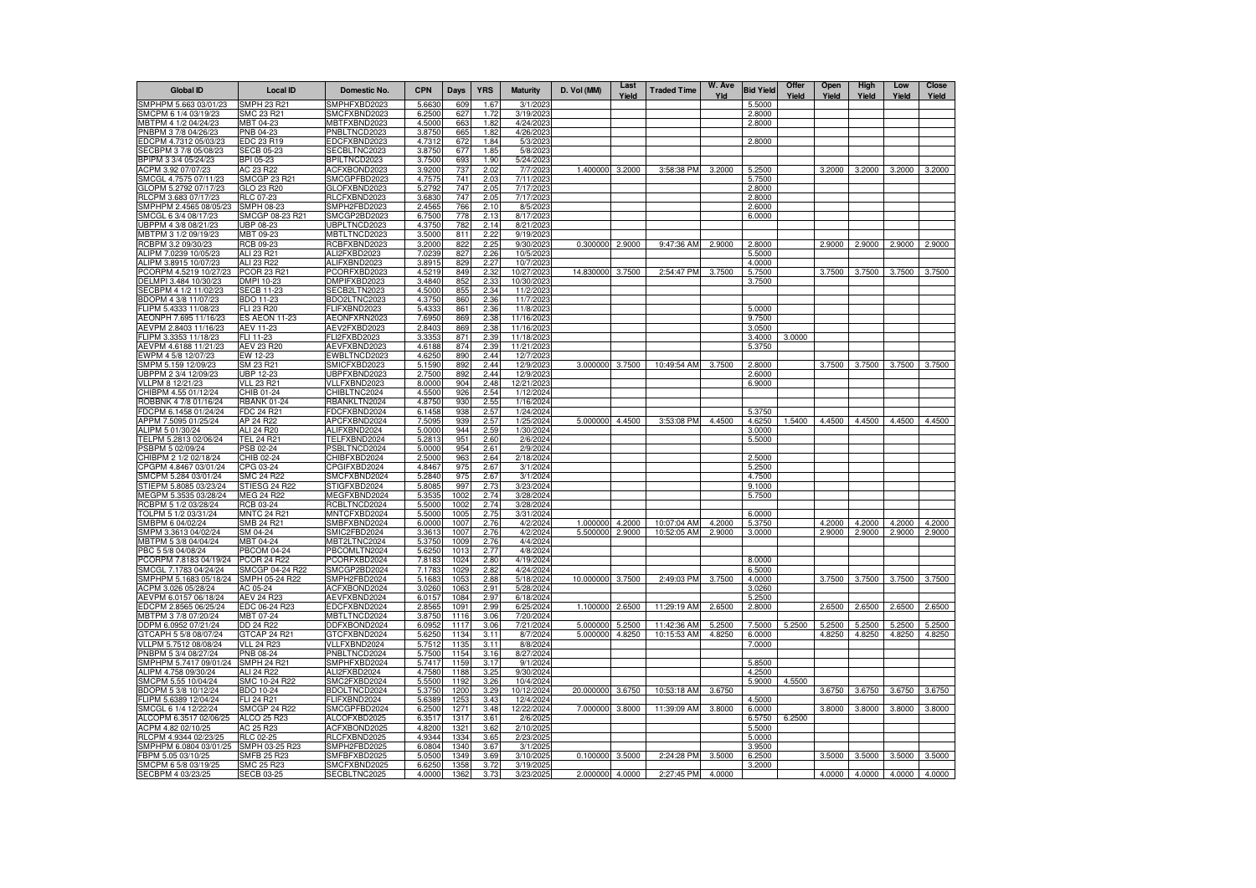| <b>Global ID</b>                                           | <b>Local ID</b>                       | Domestic No.                 | <b>CPN</b>       | Days            | <b>YRS</b>   | <b>Maturity</b>        | D. Vol (MM)      | Last<br>Yield | <b>Traded Time</b> | W. Ave<br>Yld | <b>Bid Yield</b> | Offer<br>Yield | Open<br>Yield | High<br>Yield | Low<br>Yield | <b>Close</b><br>Yield |
|------------------------------------------------------------|---------------------------------------|------------------------------|------------------|-----------------|--------------|------------------------|------------------|---------------|--------------------|---------------|------------------|----------------|---------------|---------------|--------------|-----------------------|
| SMPHPM 5.663 03/01/23                                      | <b>SMPH 23 R21</b>                    | SMPHFXBD2023                 | 5.6630           | 60 <sup>c</sup> | 1.67         | 3/1/202                |                  |               |                    |               | 5.5000           |                |               |               |              |                       |
| SMCPM 6 1/4 03/19/23                                       | SMC 23 R21                            | SMCFXBND2023                 | 6.2500           | 627             | 1.72         | 3/19/2023              |                  |               |                    |               | 2.8000           |                |               |               |              |                       |
| MBTPM 4 1/2 04/24/23                                       | MBT 04-23                             | MBTFXBND2023                 | 4.5000           | 663             | 1.82         | 4/24/2023              |                  |               |                    |               | 2.8000           |                |               |               |              |                       |
| PNBPM 3 7/8 04/26/23                                       | PNB 04-23                             | PNBLTNCD2023                 | 3.8750           | 665             | 1.82         | 4/26/2023              |                  |               |                    |               |                  |                |               |               |              |                       |
| EDCPM 4.7312 05/03/23<br>SECBPM 3 7/8 05/08/23             | EDC 23 R19<br><b>SECB 05-23</b>       | EDCFXBND2023<br>SECBLTNC2023 | 4.7312<br>3.8750 | 672<br>677      | 1.84<br>1.85 | 5/3/202<br>5/8/202     |                  |               |                    |               | 2.8000           |                |               |               |              |                       |
| BPIPM 3 3/4 05/24/23                                       | BPI 05-23                             | BPILTNCD2023                 | 3.7500           | 693             | 1.90         | 5/24/2023              |                  |               |                    |               |                  |                |               |               |              |                       |
| ACPM 3.92 07/07/23                                         | AC 23 R22                             | ACFXBOND2023                 | 3.9200           | 737             | 2.02         | 7/7/2023               | 1.400000         | 3.2000        | 3:58:38 PM         | 3.2000        | 5.2500           |                | 3.2000        | 3.2000        | 3.2000       | 3.2000                |
| SMCGL 4.7575 07/11/23                                      | <b>SMCGP 23 R21</b>                   | SMCGPFBD2023                 | 4.7575           | 741             | 2.03         | 7/11/2023              |                  |               |                    |               | 5.7500           |                |               |               |              |                       |
| GLOPM 5.2792 07/17/23                                      | GLO 23 R20                            | GLOFXBND2023                 | 5.2792           | 747             | 2.05         | 7/17/2023              |                  |               |                    |               | 2.8000           |                |               |               |              |                       |
| RLCPM 3.683 07/17/23                                       | RLC 07-23                             | RLCFXBND2023                 | 3.6830           | 747             | 2.05         | 7/17/2023              |                  |               |                    |               | 2.8000           |                |               |               |              |                       |
| SMPHPM 2.4565 08/05/23                                     | SMPH 08-23                            | SMPH2FBD2023                 | 2.4565           | 766             | 2.10         | 8/5/2023               |                  |               |                    |               | 2.6000           |                |               |               |              |                       |
| SMCGL 6 3/4 08/17/23<br>UBPPM 4 3/8 08/21/23               | SMCGP 08-23 R21<br>UBP 08-23          | SMCGP2BD2023<br>JBPLTNCD2023 | 6.7500<br>4.3750 | 778<br>782      | 2.13         | 8/17/2023<br>8/21/2023 |                  |               |                    |               | 6.0000           |                |               |               |              |                       |
| MBTPM 3 1/2 09/19/23                                       | MBT 09-23                             | MBTLTNCD2023                 | 3.5000           | 811             | 2.14<br>2.22 | 9/19/2023              |                  |               |                    |               |                  |                |               |               |              |                       |
| RCBPM 3.2 09/30/23                                         | RCB 09-23                             | RCBFXBND2023                 | 3.2000           | 822             | 2.25         | 9/30/2023              | 0.300000         | 2.9000        | 9:47:36 AM         | 2.9000        | 2.8000           |                | 2.9000        | 2.9000        | 2.9000       | 2.9000                |
| ALIPM 7.0239 10/05/23                                      | ALI 23 R21                            | ALI2FXBD2023                 | 7.0239           | 827             | 2.26         | 10/5/2023              |                  |               |                    |               | 5.5000           |                |               |               |              |                       |
| ALIPM 3.8915 10/07/23                                      | ALI 23 R22                            | ALIFXBND2023                 | 3.8915           | 829             | 2.27         | 10/7/2023              |                  |               |                    |               | 4.0000           |                |               |               |              |                       |
| PCORPM 4.5219 10/27/23                                     | PCOR 23 R21                           | PCORFXBD2023                 | 4.5219           | 849             | 2.32         | 10/27/2023             | 14.830000        | 3.7500        | 2:54:47 PM         | 3.7500        | 5.7500           |                | 3.7500        | 3.7500        | 3.7500       | 3.7500                |
| DELMPI 3.484 10/30/23                                      | DMPI 10-23                            | DMPIFXBD2023                 | 3.4840           | 852             | 2.33         | 10/30/2023             |                  |               |                    |               | 3.7500           |                |               |               |              |                       |
| SECBPM 4 1/2 11/02/23                                      | <b>SECB 11-23</b>                     | SECB2LTN2023                 | 4.5000           | 855             | 2.34         | 11/2/2023              |                  |               |                    |               |                  |                |               |               |              |                       |
| BDOPM 4 3/8 11/07/23<br>FLIPM 5.4333 11/08/23              | BDO 11-23<br>FLI 23 R20               | BDO2LTNC2023<br>FLIFXBND2023 | 4.3750<br>5.4333 | 860<br>861      | 2.36<br>2.36 | 11/7/2023<br>11/8/2023 |                  |               |                    |               | 5.0000           |                |               |               |              |                       |
| AEONPH 7.695 11/16/23                                      | <b>ES AEON 11-23</b>                  | AEONFXRN2023                 | 7.6950           | 869             | 2.38         | 11/16/2023             |                  |               |                    |               | 9.7500           |                |               |               |              |                       |
| AEVPM 2.8403 11/16/23                                      | AEV 11-23                             | AEV2FXBD2023                 | 2.8403           | 869             | 2.38         | 11/16/2023             |                  |               |                    |               | 3.0500           |                |               |               |              |                       |
| FLIPM 3.3353 11/18/23                                      | FLI 11-23                             | FLI2FXBD2023                 | 3.3353           | 871             | 2.39         | 11/18/202              |                  |               |                    |               | 3.4000           | 3.0000         |               |               |              |                       |
| AEVPM 4.6188 11/21/23                                      | AEV 23 R20                            | AEVFXBND2023                 | 4.6188           | 874             | 2.39         | 11/21/202              |                  |               |                    |               | 5.3750           |                |               |               |              |                       |
| EWPM 4 5/8 12/07/23                                        | EW 12-23                              | EWBLTNCD2023                 | 4.6250           | 890             | 2.44         | 12/7/2023              |                  |               |                    |               |                  |                |               |               |              |                       |
| SMPM 5.159 12/09/23                                        | SM 23 R21                             | SMICFXBD2023                 | 5.1590           | 892             | 2.44         | 12/9/2023              | 3.000000         | 3.7500        | 10:49:54 AM        | 3.7500        | 2.8000           |                | 3.7500        | 3.7500        | 3.7500       | 3.7500                |
| UBPPM 2 3/4 12/09/23                                       | <b>UBP 12-23</b>                      | UBPFXBND2023                 | 2.7500           | 892             | 2.44         | 12/9/202               |                  |               |                    |               | 2.6000           |                |               |               |              |                       |
| VLLPM 8 12/21/23                                           | <b>VLL 23 R21</b>                     | VLLFXBND2023                 | 8.0000           | 904             | 2.48         | 12/21/2023             |                  |               |                    |               | 6.9000           |                |               |               |              |                       |
| CHIBPM 4.55 01/12/24<br>ROBBNK 4 7/8 01/16/24              | CHIB 01-24<br><b>RBANK 01-24</b>      | CHIBLTNC2024<br>RBANKLTN2024 | 4.5500<br>4.8750 | 926<br>930      | 2.54<br>2.55 | 1/12/2024<br>1/16/2024 |                  |               |                    |               |                  |                |               |               |              |                       |
| FDCPM 6.1458 01/24/24                                      | <b>FDC 24 R21</b>                     | FDCFXBND2024                 | 6.1458           | 938             | 2.57         | 1/24/2024              |                  |               |                    |               | 5.3750           |                |               |               |              |                       |
| APPM 7.5095 01/25/24                                       | AP 24 R22                             | APCFXBND2024                 | 7.5095           | 939             | 2.57         | 1/25/2024              | 5.000000 4.4500  |               | 3:53:08 PM         | 4.4500        | 4.6250           | 1.5400         | 4.4500        | 4.4500        | 4.4500       | 4.4500                |
| ALIPM 5 01/30/24                                           | ALI 24 R20                            | ALIFXBND2024                 | 5.0000           | 944             | 2.59         | 1/30/2024              |                  |               |                    |               | 3.0000           |                |               |               |              |                       |
| TELPM 5.2813 02/06/24                                      | <b>TEL 24 R21</b>                     | TELFXBND2024                 | 5.2813           | 951             | 2.60         | 2/6/2024               |                  |               |                    |               | 5.5000           |                |               |               |              |                       |
| PSBPM 5 02/09/24                                           | PSB 02-24                             | PSBLTNCD2024                 | 5.0000           | 954             | 2.61         | 2/9/2024               |                  |               |                    |               |                  |                |               |               |              |                       |
| CHIBPM 2 1/2 02/18/24                                      | CHIB 02-24                            | CHIBFXBD2024                 | 2.5000           | 963             | 2.64         | 2/18/2024              |                  |               |                    |               | 2.5000           |                |               |               |              |                       |
| CPGPM 4.8467 03/01/24                                      | CPG 03-24                             | CPGIFXBD2024                 | 4.8467           | 975             | 2.67         | 3/1/2024               |                  |               |                    |               | 5.2500           |                |               |               |              |                       |
| SMCPM 5.284 03/01/24                                       | SMC 24 R22                            | SMCFXBND2024                 | 5.2840           | 975             | 2.67         | 3/1/2024               |                  |               |                    |               | 4.7500           |                |               |               |              |                       |
| STIEPM 5.8085 03/23/24<br>MEGPM 5.3535 03/28/24            | STIESG 24 R22<br>MEG 24 R22           | STIGFXBD2024<br>MEGFXBND2024 | 5.8085<br>5.3535 | 997<br>1002     | 2.73<br>2.74 | 3/23/2024<br>3/28/2024 |                  |               |                    |               | 9.1000<br>5.7500 |                |               |               |              |                       |
| RCBPM 5 1/2 03/28/24                                       | RCB 03-24                             | RCBLTNCD2024                 | 5.5000           | 1002            | 2.74         | 3/28/2024              |                  |               |                    |               |                  |                |               |               |              |                       |
| TOLPM 5 1/2 03/31/24                                       | <b>MNTC 24 R21</b>                    | MNTCFXBD2024                 | 5.5000           | 1005            | 2.75         | 3/31/2024              |                  |               |                    |               | 6.0000           |                |               |               |              |                       |
| SMBPM 6 04/02/24                                           | SMB 24 R21                            | SMBFXBND2024                 | 6.0000           | 100             | 2.76         | 4/2/2024               | 1.000000         | 4.2000        | 10:07:04 AM        | 4.2000        | 5.3750           |                | 4.2000        | 4.2000        | 4.2000       | 4.2000                |
| SMPM 3.3613 04/02/24                                       | SM 04-24                              | SMIC2FBD2024                 | 3.3613           | 1007            | 2.76         | 4/2/2024               | 5.500000         | 2,9000        | 10:52:05 AM        | 2.9000        | 3.0000           |                | 2.9000        | 2.9000        | 2.9000       | 2.9000                |
| MBTPM 5 3/8 04/04/24                                       | MBT 04-24                             | MBT2LTNC2024                 | 5.3750           | 1009            | 2.76         | 4/4/2024               |                  |               |                    |               |                  |                |               |               |              |                       |
| PBC 5 5/8 04/08/24                                         | <b>PBCOM 04-24</b>                    | PBCOMLTN2024                 | 5.6250           | 1013            | 2.77         | 4/8/2024               |                  |               |                    |               |                  |                |               |               |              |                       |
| PCORPM 7.8183 04/19/24                                     | <b>PCOR 24 R22</b><br>SMCGP 04-24 R22 | PCORFXBD2024                 | 7.8183           | 1024            | 2.80         | 4/19/2024              |                  |               |                    |               | 8,0000           |                |               |               |              |                       |
| SMCGL 7.1783 04/24/24<br>SMPHPM 5.1683 05/18/24            | SMPH 05-24 R22                        | SMCGP2BD2024<br>SMPH2FBD2024 | 7.1783<br>5.1683 | 1029<br>1053    | 2.82<br>2.88 | 4/24/2024<br>5/18/2024 | 10.000000 3.7500 |               | 2:49:03 PM         | 3.7500        | 6.5000<br>4.0000 |                | 3.7500        | 3.7500        | 3.7500       | 3.7500                |
| ACPM 3.026 05/28/24                                        | AC 05-24                              | ACFXBOND2024                 | 3.0260           | 1063            | 2.91         | 5/28/2024              |                  |               |                    |               | 3.0260           |                |               |               |              |                       |
| AEVPM 6.0157 06/18/24                                      | AEV 24 R23                            | AEVFXBND2024                 | 6.0157           | 1084            | 2.97         | 6/18/2024              |                  |               |                    |               | 5.2500           |                |               |               |              |                       |
| EDCPM 2.8565 06/25/24                                      | EDC 06-24 R23                         | EDCFXBND2024                 | 2.8565           | 1091            | 2.99         | 6/25/2024              | 1.100000         | 2.6500        | 11:29:19 AM        | 2.6500        | 2.8000           |                | 2.6500        | 2.6500        | 2.6500       | 2.6500                |
| MBTPM 3 7/8 07/20/24                                       | MBT 07-24                             | MBTLTNCD2024                 | 3.8750           | 1116            | 3.06         | 7/20/2024              |                  |               |                    |               |                  |                |               |               |              |                       |
| DDPM 6.0952 07/21/24                                       | DD 24 R22                             | DDFXBOND2024                 | 6.0952           | 1117            | 3.06         | 7/21/2024              | 5.000000         | 5.2500        | 11:42:36 AM        | 5.2500        | 7.5000           | 5.2500         | 5.2500        | 5.2500        | 5.2500       | 5.2500                |
| GTCAPH 5 5/8 08/07/24                                      | GTCAP 24 R21                          | GTCFXBND2024                 | 5.6250           | 1134            | 3.11         | 8/7/2024               | 5.000000         | 4.8250        | 10:15:53 AM        | 4.8250        | 6.0000           |                | 4.8250        | 4.8250        | 4.8250       | 4.8250                |
| VLLPM 5.7512 08/08/24                                      | <b>VLL 24 R23</b>                     | VLLFXBND2024                 | 5.7512           | 1135            | 3.11         | 8/8/2024               |                  |               |                    |               | 7.0000           |                |               |               |              |                       |
| PNBPM 5 3/4 08/27/24<br>SMPHPM 5.7417 09/01/24 SMPH 24 R21 | PNB 08-24                             | PNBLTNCD2024<br>SMPHFXBD2024 | 5.7500<br>5.7417 | 1154<br>1159    | 3.16<br>3.17 | 8/27/2024<br>9/1/2024  |                  |               |                    |               | 5.8500           |                |               |               |              |                       |
| ALIPM 4.758 09/30/24                                       | <b>ALI 24 R22</b>                     | ALI2FXBD2024                 | 4.7580           | 1188            | 3.25         | 9/30/2024              |                  |               |                    |               | 4.2500           |                |               |               |              |                       |
| SMCPM 5.55 10/04/24                                        | SMC 10-24 R22                         | SMC2FXBD2024                 | 5.5500           | 1192            | 3.26         | 10/4/2024              |                  |               |                    |               | 5.9000           | 4.5500         |               |               |              |                       |
| BDOPM 5 3/8 10/12/24                                       | <b>BDO 10-24</b>                      | BDOLTNCD2024                 | 5.3750           | 1200            | 3.29         | 10/12/2024             | 20.000000        | 3.6750        | 10:53:18 AM        | 3.6750        |                  |                | 3.6750        | 3.6750        | 3.6750       | 3.6750                |
| FLIPM 5.6389 12/04/24                                      | FLI 24 R21                            | FLIFXBND2024                 | 5.6389           | 1253            | 3.43         | 12/4/2024              |                  |               |                    |               | 4.5000           |                |               |               |              |                       |
| SMCGL 6 1/4 12/22/24                                       | SMCGP 24 R22                          | SMCGPFBD2024                 | 6.2500           | 1271            | 3.48         | 12/22/2024             | 7.000000 3.8000  |               | 11:39:09 AM        | 3.8000        | 6.0000           |                | 3.8000        | 3.8000        | 3.8000       | 3.8000                |
| ALCOPM 6.3517 02/06/25                                     | ALCO 25 R23                           | ALCOFXBD2025                 | 6.3517           | 1317            | 3.61         | 2/6/2025               |                  |               |                    |               | 6.5750           | 6.2500         |               |               |              |                       |
| ACPM 4.82 02/10/25                                         | AC 25 R23                             | ACFXBOND2025                 | 4.8200           | 1321            | 3.62         | 2/10/2025              |                  |               |                    |               | 5.5000           |                |               |               |              |                       |
| RLCPM 4.9344 02/23/25                                      | RLC 02-25                             | RLCFXBND2025                 | 4.9344           | 1334            | 3.65         | 2/23/202               |                  |               |                    |               | 5.0000           |                |               |               |              |                       |
| SMPHPM 6.0804 03/01/25<br>FBPM 5.05 03/10/25               | SMPH 03-25 R23<br>SMFB 25 R23         | SMPH2FBD2025<br>SMFBFXBD2025 | 6.0804<br>5.0500 | 1340<br>1349    | 3.67<br>3.69 | 3/1/2025<br>3/10/2025  | 0.100000         | 3.5000        | 2:24:28 PM         | 3.5000        | 3.9500<br>6.2500 |                | 3.5000        | 3.5000        | 3.5000       | 3.5000                |
| SMCPM 6 5/8 03/19/25                                       | SMC 25 R23                            | SMCFXBND2025                 | 6.6250           | 1358            | 3.72         | 3/19/202               |                  |               |                    |               | 3.2000           |                |               |               |              |                       |
| SECBPM 4 03/23/25                                          | <b>SECB 03-25</b>                     | SECBLTNC2025                 | 4.0000           | 1362            | 3.73         | 3/23/2025              | 2.000000 4.0000  |               | 2:27:45 PM         | 4.0000        |                  |                | 4.0000        | 4.0000        | 4.0000       | 4.0000                |
|                                                            |                                       |                              |                  |                 |              |                        |                  |               |                    |               |                  |                |               |               |              |                       |